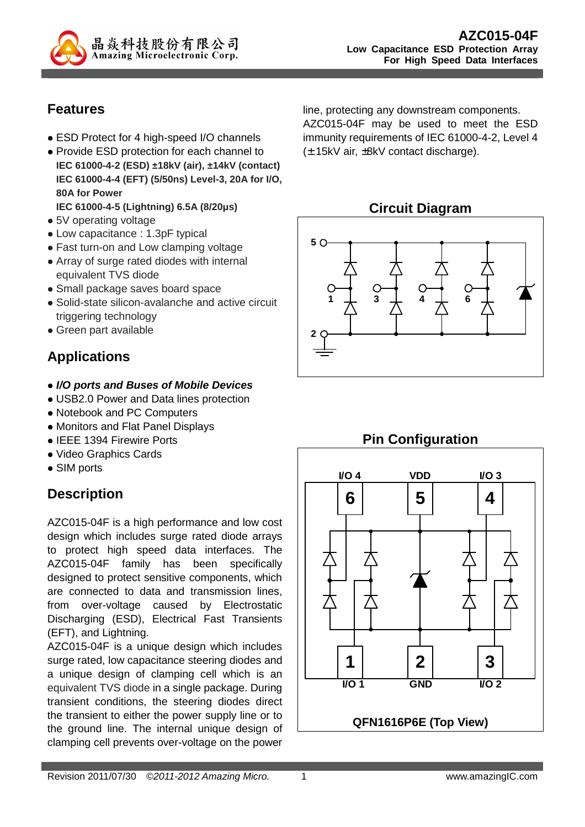

### **Features**

- ESD Protect for 4 high-speed I/O channels
- Provide ESD protection for each channel to **IEC 61000-4-2 (ESD) ±18kV (air), ±14kV (contact) IEC 61000-4-4 (EFT) (5/50ns) Level-3, 20A for I/O, 80A for Power**
- **IEC 61000-4-5 (Lightning) 6.5A (8/20µs)**
- 5V operating voltage
- Low capacitance : 1.3pF typical
- Fast turn-on and Low clamping voltage
- Array of surge rated diodes with internal equivalent TVS diode
- Small package saves board space
- Solid-state silicon-avalanche and active circuit triggering technology
- Green part available

# **Applications**

- **I/O ports and Buses of Mobile Devices**
- USB2.0 Power and Data lines protection
- Notebook and PC Computers
- Monitors and Flat Panel Displays
- IEEE 1394 Firewire Ports
- Video Graphics Cards
- SIM ports

# **Description**

AZC015-04F is a high performance and low cost design which includes surge rated diode arrays to protect high speed data interfaces. The AZC015-04F family has been specifically designed to protect sensitive components, which are connected to data and transmission lines, from over-voltage caused by Electrostatic Discharging (ESD), Electrical Fast Transients (EFT), and Lightning.

AZC015-04F is a unique design which includes surge rated, low capacitance steering diodes and a unique design of clamping cell which is an equivalent TVS diode in a single package. During transient conditions, the steering diodes direct the transient to either the power supply line or to the ground line. The internal unique design of clamping cell prevents over-voltage on the power

line, protecting any downstream components. AZC015-04F may be used to meet the ESD immunity requirements of IEC 61000-4-2, Level 4 (± 15kV air, ±8kV contact discharge).

### **Circuit Diagram**



# **Pin Configuration**

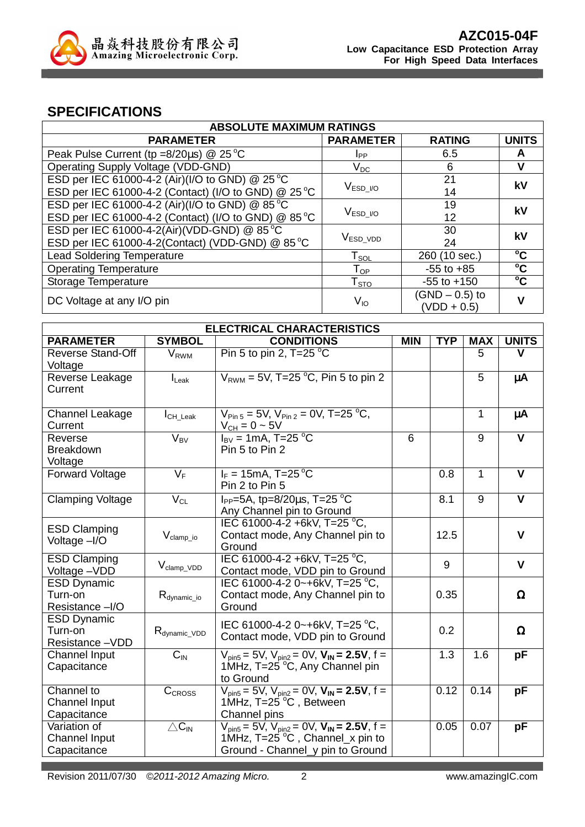

### **SPECIFICATIONS**

| <b>ABSOLUTE MAXIMUM RATINGS</b>                       |                                  |                                   |              |  |  |
|-------------------------------------------------------|----------------------------------|-----------------------------------|--------------|--|--|
| <b>PARAMETER</b>                                      | <b>PARAMETER</b>                 | <b>RATING</b>                     | <b>UNITS</b> |  |  |
| Peak Pulse Current (tp = $8/20\mu s$ ) @ 25 °C        | <b>I</b> pp                      | 6.5                               | A            |  |  |
| Operating Supply Voltage (VDD-GND)                    | $V_{DC}$                         | 6                                 |              |  |  |
| ESD per IEC 61000-4-2 (Air)(I/O to GND) @ 25 °C<br>21 |                                  |                                   | kV           |  |  |
| ESD per IEC 61000-4-2 (Contact) (I/O to GND) @ 25 °C  | $\rm V_{ESD\_I/O}$               | 14                                |              |  |  |
| ESD per IEC 61000-4-2 (Air)(I/O to GND) @ 85 °C       | 19                               | kV                                |              |  |  |
| ESD per IEC 61000-4-2 (Contact) (I/O to GND) @ 85 °C  | $V_{\mathsf{ESD}\_V\mathsf{O}}$  | 12                                |              |  |  |
| ESD per IEC 61000-4-2(Air)(VDD-GND) @ 85 °C           |                                  | 30                                | kV           |  |  |
| ESD per IEC 61000-4-2(Contact) (VDD-GND) @ 85 °C      | $V_{\mathsf{ESD}\_\mathsf{VDD}}$ | 24                                |              |  |  |
| <b>Lead Soldering Temperature</b>                     | ${\sf T}_{\sf SOL}$              | 260 (10 sec.)                     | $^{\circ}$ C |  |  |
| <b>Operating Temperature</b>                          | Тор                              | $-55$ to $+85$                    | $^{\circ}$ C |  |  |
| Storage Temperature                                   | ${\mathsf T}_{\text{STO}}$       | $-55$ to $+150$                   | $\rm ^{o}C$  |  |  |
| DC Voltage at any I/O pin                             | $V_{IO}$                         | $(SND - 0.5)$ to<br>$(VDD + 0.5)$ |              |  |  |
|                                                       |                                  |                                   |              |  |  |

| <b>ELECTRICAL CHARACTERISTICS</b>                   |                                  |                                                                                                                                  |            |                  |                  |                         |
|-----------------------------------------------------|----------------------------------|----------------------------------------------------------------------------------------------------------------------------------|------------|------------------|------------------|-------------------------|
| <b>PARAMETER</b>                                    | <b>SYMBOL</b>                    | <b>CONDITIONS</b>                                                                                                                | <b>MIN</b> | <b>TYP</b>       | <b>MAX</b>       | <b>UNITS</b>            |
| <b>Reverse Stand-Off</b><br>Voltage                 | <b>V</b> <sub>RWM</sub>          | Pin 5 to pin 2, $T=25$ °C                                                                                                        |            |                  | 5                | v                       |
| Reverse Leakage<br>Current                          | $I_{\text{Leak}}$                | $V_{RWM}$ = 5V, T=25 °C, Pin 5 to pin 2                                                                                          |            |                  | $\overline{5}$   | μA                      |
| <b>Channel Leakage</b><br>Current                   | $I_{CH\_Leak}$                   | $V_{\text{Pin }5}$ = 5V, $V_{\text{Pin }2}$ = 0V, T=25 °C,<br>$V_{CH} = 0 - 5V$                                                  |            |                  | 1                | μA                      |
| Reverse<br><b>Breakdown</b><br>Voltage              | $V_{BV}$                         | $I_{\text{BV}}$ = 1mA, T=25 $^{\circ}$ C<br>Pin 5 to Pin 2                                                                       | 6          |                  | $\overline{9}$   | $\overline{\mathsf{v}}$ |
| <b>Forward Voltage</b>                              | $V_F$                            | $I_F = 15mA$ , T=25 °C<br>Pin 2 to Pin 5                                                                                         |            | 0.8              | $\mathbf{1}$     | $\overline{\mathsf{v}}$ |
| <b>Clamping Voltage</b>                             | $V_{CL}$                         | $I_{PP} = 5A$ , tp=8/20 $\mu$ s, T=25 °C<br>Any Channel pin to Ground                                                            |            | 8.1              | 9                | V                       |
| <b>ESD Clamping</b><br>Voltage -I/O                 | $V_{clamp\_io}$                  | IEC 61000-4-2 +6kV, T=25 °C,<br>Contact mode, Any Channel pin to<br>Ground                                                       |            | 12.5             |                  | $\mathbf v$             |
| <b>ESD Clamping</b><br>Voltage-VDD                  | $V_{\text{clamp} \, \text{VDD}}$ | IEC 61000-4-2 +6kV, T=25 °C,<br>Contact mode, VDD pin to Ground                                                                  |            | 9                |                  | $\mathbf{V}$            |
| <b>ESD Dynamic</b><br>Turn-on<br>Resistance -I/O    | $R_{\text{dynamic\_io}}$         | IEC 61000-4-2 0~+6kV, T=25 °C,<br>Contact mode, Any Channel pin to<br>Ground                                                     |            | 0.35             |                  | $\Omega$                |
| <b>ESD Dynamic</b><br>Turn-on<br>Resistance-VDD     | $R_{\text{dynamic\_VDD}}$        | IEC 61000-4-2 0~+6kV, T=25 °C,<br>Contact mode, VDD pin to Ground                                                                |            | 0.2              |                  | Ω                       |
| <b>Channel Input</b><br>Capacitance                 | $C_{\text{IN}}$                  | $V_{pin5} = 5V$ , $V_{pin2} = 0V$ , $V_{IN} = 2.5V$ , f =<br>1MHz, $T=25$ °C, Any Channel pin<br>to Ground                       |            | $\overline{1.3}$ | $\overline{1.6}$ | pF                      |
| Channel to<br><b>Channel Input</b><br>Capacitance   | CCROSS                           | $V_{pin5} = 5V$ , $V_{pin2} = 0V$ , $V_{IN} = 2.5V$ , f =<br>1MHz, $T=25$ °C, Between<br>Channel pins                            |            | 0.12             | 0.14             | pF                      |
| Variation of<br><b>Channel Input</b><br>Capacitance | $\triangle C_{IN}$               | $V_{pin5} = 5V$ , $V_{pin2} = 0V$ , $V_{IN} = 2.5V$ , f =<br>1MHz, T=25 °C, Channel_x pin to<br>Ground - Channel_y pin to Ground |            | 0.05             | 0.07             | рF                      |

Revision 2011/07/30 ©2011-2012 Amazing Micro. 2 2 www.amazingIC.com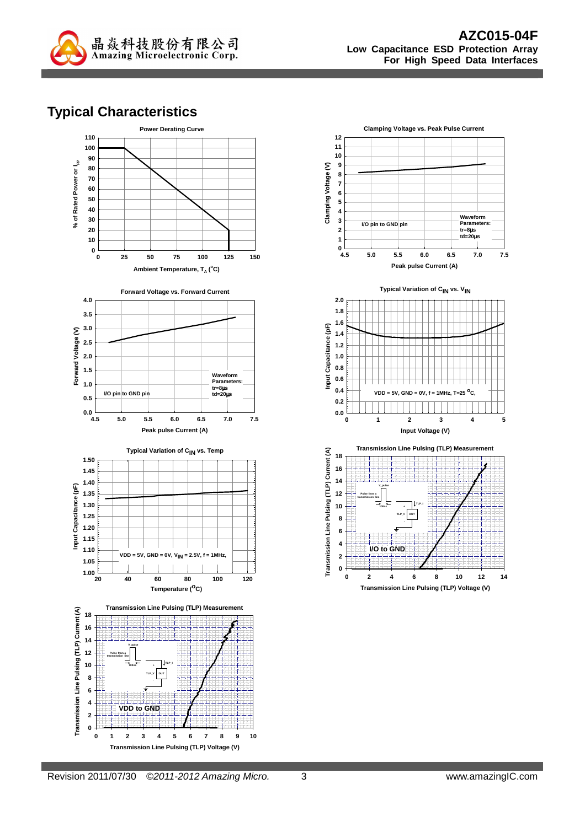

### **Typical Characteristics**



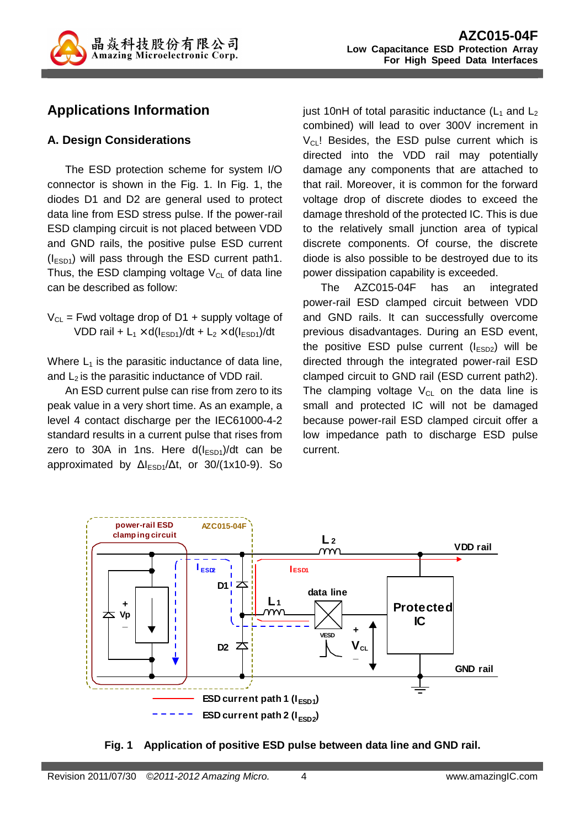

## **Applications Information**

### **A. Design Considerations**

The ESD protection scheme for system I/O connector is shown in the Fig. 1. In Fig. 1, the diodes D1 and D2 are general used to protect data line from ESD stress pulse. If the power-rail ESD clamping circuit is not placed between VDD and GND rails, the positive pulse ESD current  $(I<sub>ESD1</sub>)$  will pass through the ESD current path1. Thus, the ESD clamping voltage  $V_{CL}$  of data line can be described as follow:

 $V_{CL}$  = Fwd voltage drop of D1 + supply voltage of VDD rail +  $L_1 \times d(l_{ESD1})/dt + L_2 \times d(l_{ESD1})/dt$ 

Where  $L_1$  is the parasitic inductance of data line, and  $L_2$  is the parasitic inductance of VDD rail.

An ESD current pulse can rise from zero to its peak value in a very short time. As an example, a level 4 contact discharge per the IEC61000-4-2 standard results in a current pulse that rises from zero to 30A in 1ns. Here  $d(I_{ESD1})/dt$  can be approximated by  $\Delta I_{ESD1}/\Delta t$ , or 30/(1x10-9). So

just 10nH of total parasitic inductance  $(L_1$  and  $L_2$ combined) will lead to over 300V increment in  $V_{\text{CL}}$ ! Besides, the ESD pulse current which is directed into the VDD rail may potentially damage any components that are attached to that rail. Moreover, it is common for the forward voltage drop of discrete diodes to exceed the damage threshold of the protected IC. This is due to the relatively small junction area of typical discrete components. Of course, the discrete diode is also possible to be destroyed due to its power dissipation capability is exceeded.

The AZC015-04F has an integrated power-rail ESD clamped circuit between VDD and GND rails. It can successfully overcome previous disadvantages. During an ESD event, the positive ESD pulse current  $(I_{ESD2})$  will be directed through the integrated power-rail ESD clamped circuit to GND rail (ESD current path2). The clamping voltage  $V_{CL}$  on the data line is small and protected IC will not be damaged because power-rail ESD clamped circuit offer a low impedance path to discharge ESD pulse current.



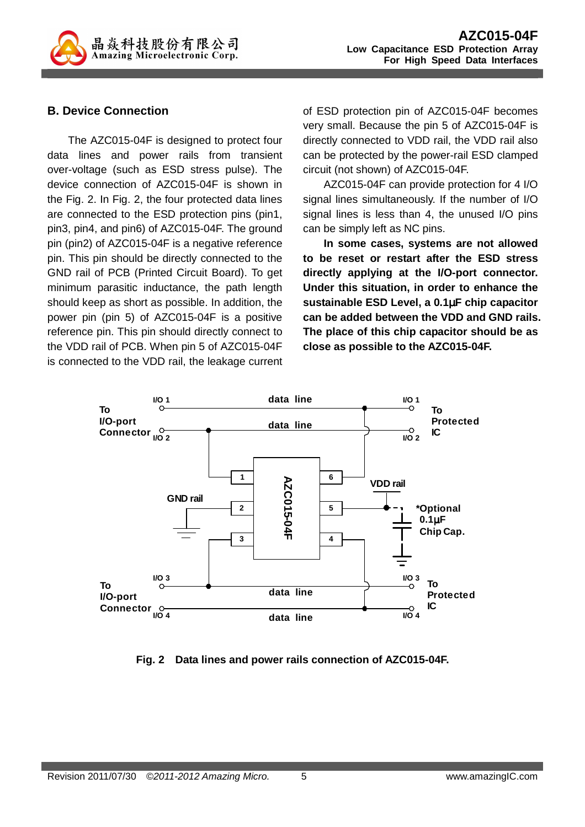

### **B. Device Connection**

The AZC015-04F is designed to protect four data lines and power rails from transient over-voltage (such as ESD stress pulse). The device connection of AZC015-04F is shown in the Fig. 2. In Fig. 2, the four protected data lines are connected to the ESD protection pins (pin1, pin3, pin4, and pin6) of AZC015-04F. The ground pin (pin2) of AZC015-04F is a negative reference pin. This pin should be directly connected to the GND rail of PCB (Printed Circuit Board). To get minimum parasitic inductance, the path length should keep as short as possible. In addition, the power pin (pin 5) of AZC015-04F is a positive reference pin. This pin should directly connect to the VDD rail of PCB. When pin 5 of AZC015-04F is connected to the VDD rail, the leakage current

of ESD protection pin of AZC015-04F becomes very small. Because the pin 5 of AZC015-04F is directly connected to VDD rail, the VDD rail also can be protected by the power-rail ESD clamped circuit (not shown) of AZC015-04F.

AZC015-04F can provide protection for 4 I/O signal lines simultaneously. If the number of I/O signal lines is less than 4, the unused I/O pins can be simply left as NC pins.

**In some cases, systems are not allowed to be reset or restart after the ESD stress directly applying at the I/O-port connector. Under this situation, in order to enhance the sustainable ESD Level, a 0.1**µ**F chip capacitor can be added between the VDD and GND rails. The place of this chip capacitor should be as close as possible to the AZC015-04F.** 



**Fig. 2 Data lines and power rails connection of AZC015-04F.**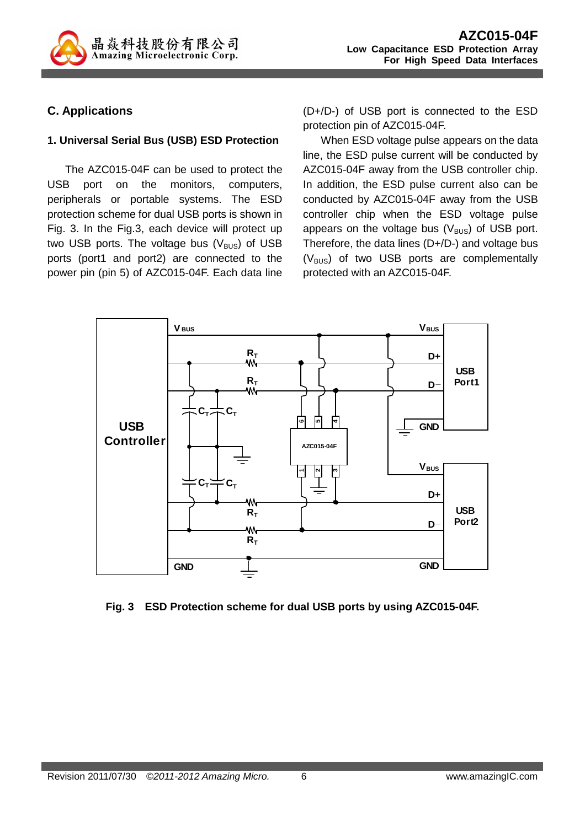

### **C. Applications**

#### **1. Universal Serial Bus (USB) ESD Protection**

The AZC015-04F can be used to protect the USB port on the monitors, computers, peripherals or portable systems. The ESD protection scheme for dual USB ports is shown in Fig. 3. In the Fig.3, each device will protect up two USB ports. The voltage bus  $(V_{\text{BUS}})$  of USB ports (port1 and port2) are connected to the power pin (pin 5) of AZC015-04F. Each data line (D+/D-) of USB port is connected to the ESD protection pin of AZC015-04F.

When ESD voltage pulse appears on the data line, the ESD pulse current will be conducted by AZC015-04F away from the USB controller chip. In addition, the ESD pulse current also can be conducted by AZC015-04F away from the USB controller chip when the ESD voltage pulse appears on the voltage bus  $(V_{\text{BUS}})$  of USB port. Therefore, the data lines (D+/D-) and voltage bus  $(V_{\text{BUS}})$  of two USB ports are complementally protected with an AZC015-04F.



**Fig. 3 ESD Protection scheme for dual USB ports by using AZC015-04F.**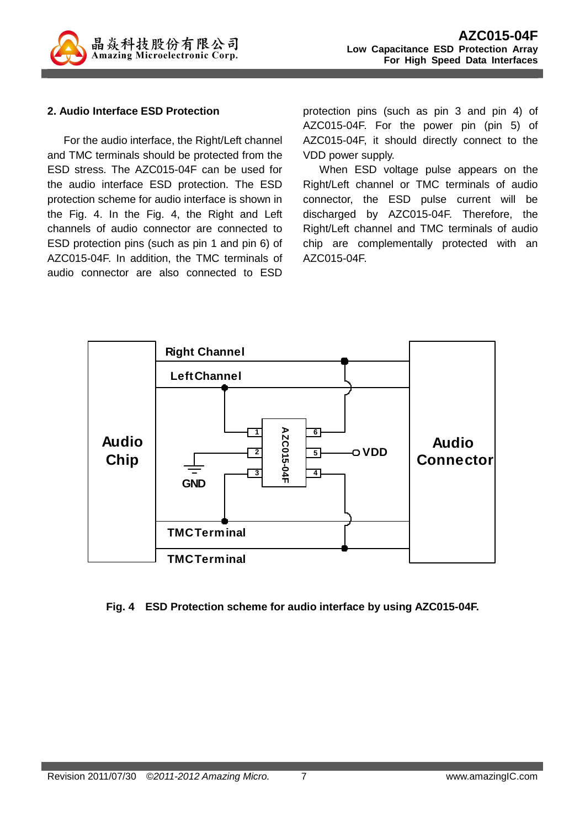

#### **2. Audio Interface ESD Protection**

For the audio interface, the Right/Left channel and TMC terminals should be protected from the ESD stress. The AZC015-04F can be used for the audio interface ESD protection. The ESD protection scheme for audio interface is shown in the Fig. 4. In the Fig. 4, the Right and Left channels of audio connector are connected to ESD protection pins (such as pin 1 and pin 6) of AZC015-04F. In addition, the TMC terminals of audio connector are also connected to ESD

protection pins (such as pin 3 and pin 4) of AZC015-04F. For the power pin (pin 5) of AZC015-04F, it should directly connect to the VDD power supply.

When ESD voltage pulse appears on the Right/Left channel or TMC terminals of audio connector, the ESD pulse current will be discharged by AZC015-04F. Therefore, the Right/Left channel and TMC terminals of audio chip are complementally protected with an AZC015-04F.



#### **Fig. 4 ESD Protection scheme for audio interface by using AZC015-04F.**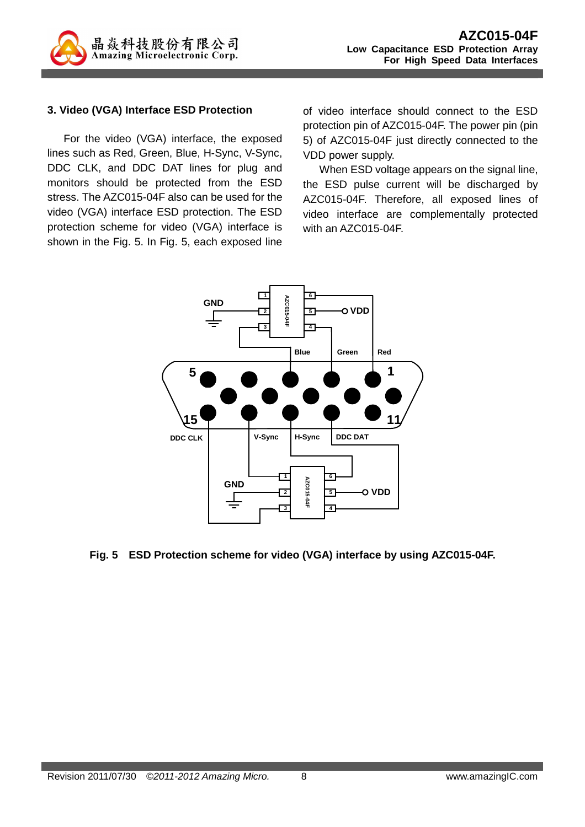

#### **3. Video (VGA) Interface ESD Protection**

For the video (VGA) interface, the exposed lines such as Red, Green, Blue, H-Sync, V-Sync, DDC CLK, and DDC DAT lines for plug and monitors should be protected from the ESD stress. The AZC015-04F also can be used for the video (VGA) interface ESD protection. The ESD protection scheme for video (VGA) interface is shown in the Fig. 5. In Fig. 5, each exposed line

of video interface should connect to the ESD protection pin of AZC015-04F. The power pin (pin 5) of AZC015-04F just directly connected to the VDD power supply.

When ESD voltage appears on the signal line, the ESD pulse current will be discharged by AZC015-04F. Therefore, all exposed lines of video interface are complementally protected with an AZC015-04F.



**Fig. 5 ESD Protection scheme for video (VGA) interface by using AZC015-04F.**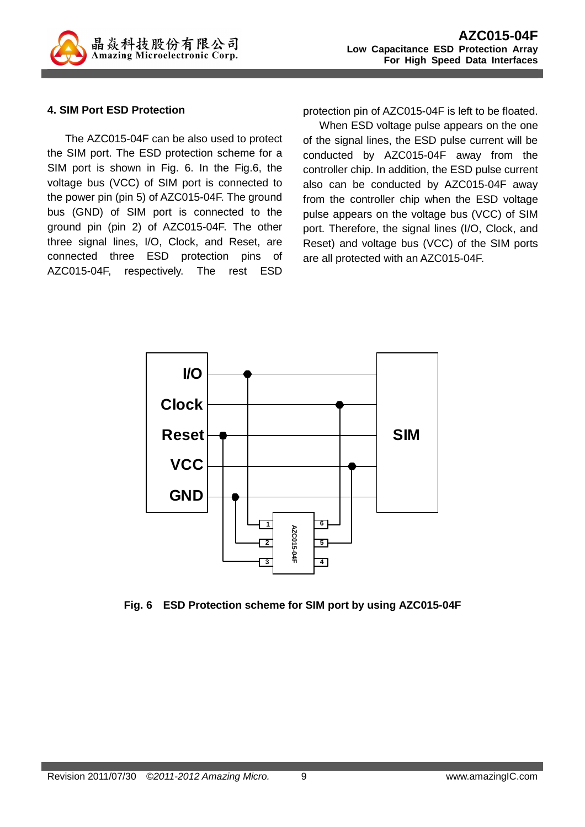

#### **4. SIM Port ESD Protection**

The AZC015-04F can be also used to protect the SIM port. The ESD protection scheme for a SIM port is shown in Fig. 6. In the Fig.6, the voltage bus (VCC) of SIM port is connected to the power pin (pin 5) of AZC015-04F. The ground bus (GND) of SIM port is connected to the ground pin (pin 2) of AZC015-04F. The other three signal lines, I/O, Clock, and Reset, are connected three ESD protection pins of AZC015-04F, respectively. The rest ESD protection pin of AZC015-04F is left to be floated.

When ESD voltage pulse appears on the one of the signal lines, the ESD pulse current will be conducted by AZC015-04F away from the controller chip. In addition, the ESD pulse current also can be conducted by AZC015-04F away from the controller chip when the ESD voltage pulse appears on the voltage bus (VCC) of SIM port. Therefore, the signal lines (I/O, Clock, and Reset) and voltage bus (VCC) of the SIM ports are all protected with an AZC015-04F.



**Fig. 6 ESD Protection scheme for SIM port by using AZC015-04F**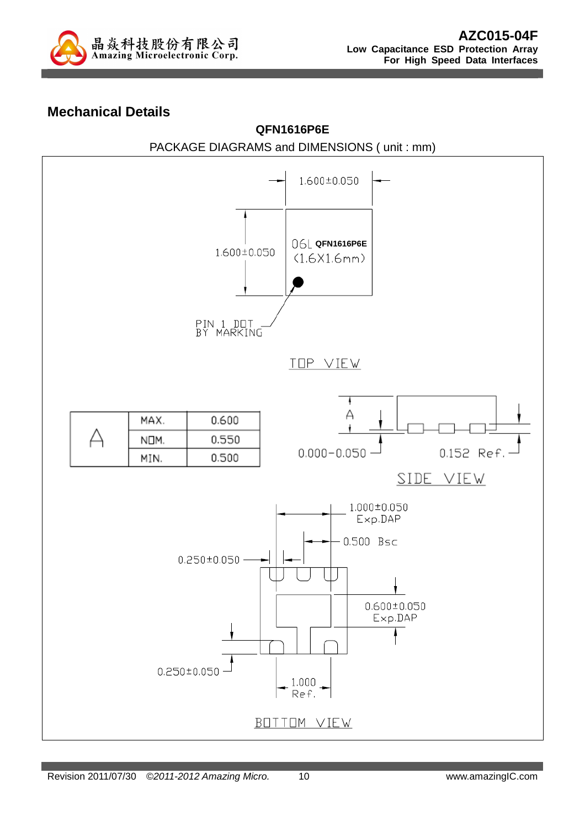

### **Mechanical Details**

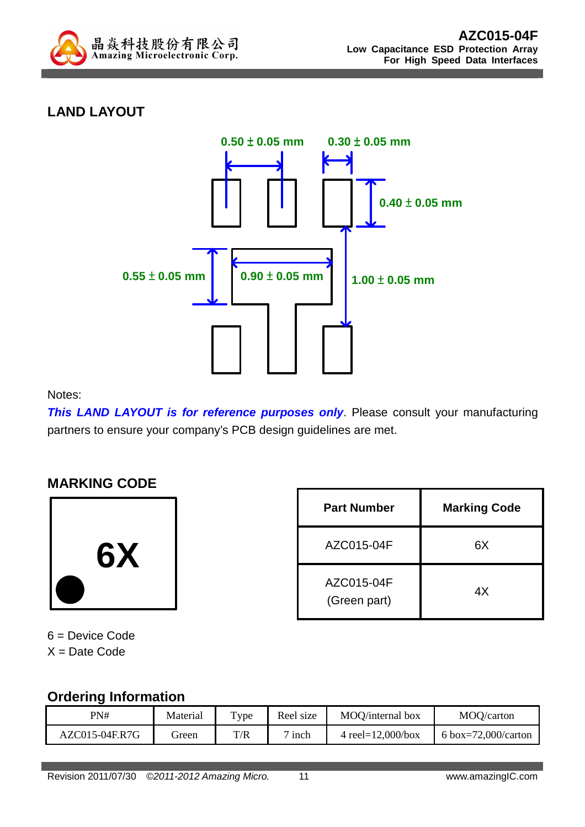

# **LAND LAYOUT**



Notes:

**This LAND LAYOUT is for reference purposes only.** Please consult your manufacturing partners to ensure your company's PCB design guidelines are met.

### **MARKING CODE**



| <b>Part Number</b>         | <b>Marking Code</b> |  |
|----------------------------|---------------------|--|
| AZC015-04F                 | 6Х                  |  |
| AZC015-04F<br>(Green part) | 4Х                  |  |

6 = Device Code  $X =$  Date Code

# **Ordering Information**

| _ _ _ _ _ _ _ _ _ _ _ _ _ _ _ _ _ _ |          |                    |           |                       |                     |
|-------------------------------------|----------|--------------------|-----------|-----------------------|---------------------|
| PN#                                 | Material | $T$ <sub>ype</sub> | Reel size | MOO/internal box      | MOO/carton          |
| AZC015-04F.R7G                      | sreen    | T/R                | inch      | 4 reel= $12,000/b$ ox | 6 box=72,000/carton |